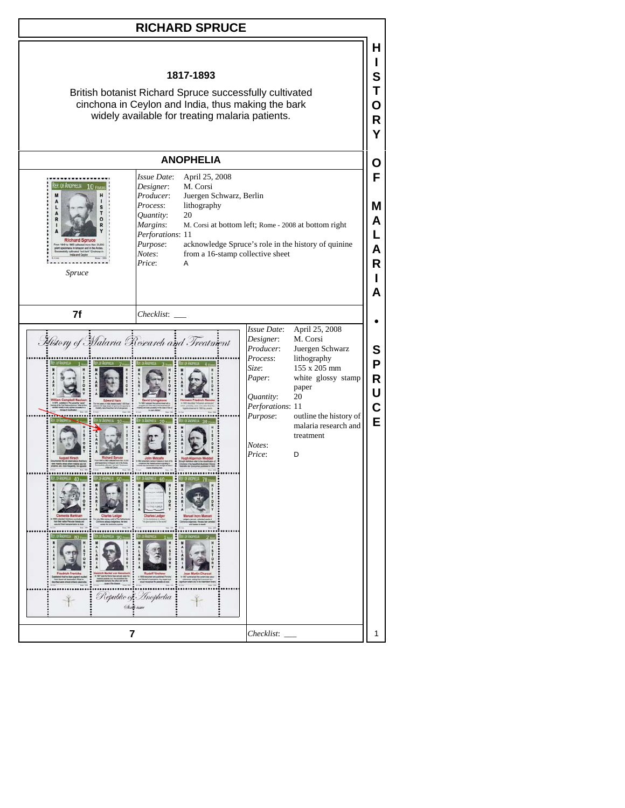